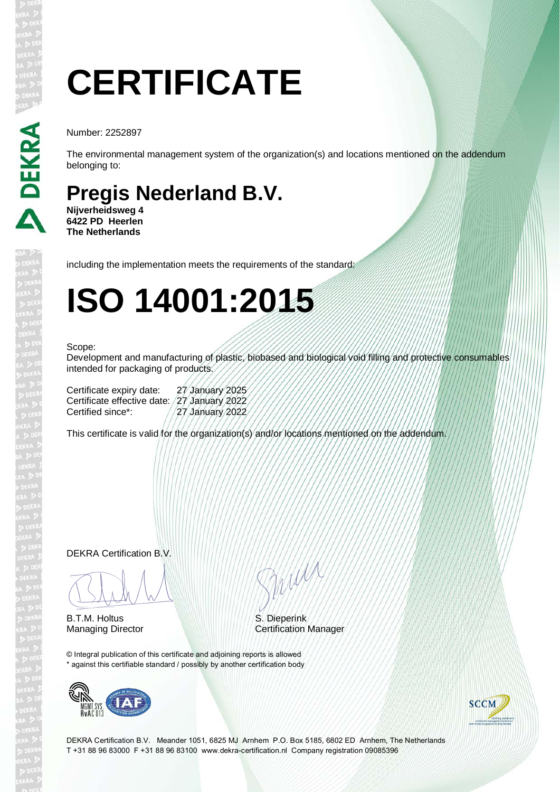# **CERTIFICATE**

Number: 2252897

The environmental management system of the organization(s) and locations mentioned on the addendum belonging to:

### **Pregis Nederland B.V.**

**Nijverheidsweg 4 6422 PD Heerlen The Netherlands**

including the implementation meets the requirements of the standard:

## **ISO 14001:2015**

#### Scope:

Development and manufacturing of plastic, biobased and biological void filling and protective consumables intended for packaging of products.

| 27 January 2025                              |
|----------------------------------------------|
| Certificate effective date: /27 January 2022 |
| 27 January 2022                              |
|                                              |

This certificate is valid for the organization(s) and/or locations mentioned on the addendum.

DEKRA Certification B.V.

BLAM

B.T.M. Holtus

Silver

S. Dieperink Managing Director **Certification Manager** 

© Integral publication of this certificate and adjoining reports is allowed \* against this certifiable standard / possibly by another certification body





DEKRA Certification B.V. Meander 1051, 6825 MJ Arnhem P.O. Box 5185, 6802 ED Arnhem, The Netherlands T +31 88 96 83000 F +31 88 96 83100 www.dekra-certification.nl Company registration 09085396